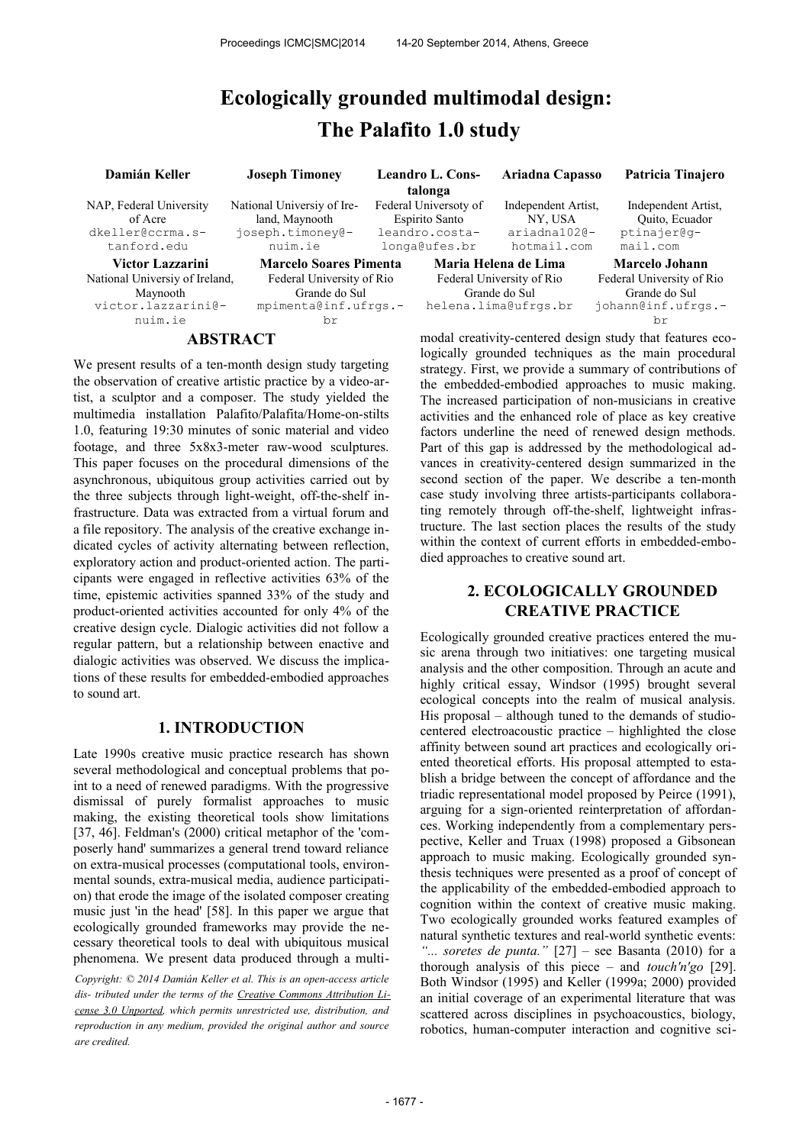# **Ecologically grounded multimodal design: The Palafito 1.0 study**

| Damián Keller                                                         | <b>Joseph Timoney</b>                                                        |  | <b>Leandro L. Cons-</b><br>talonga                                                                                | Ariadna Capasso                                               | Patricia Tinajero                                                |
|-----------------------------------------------------------------------|------------------------------------------------------------------------------|--|-------------------------------------------------------------------------------------------------------------------|---------------------------------------------------------------|------------------------------------------------------------------|
| NAP, Federal University<br>of Acre<br>dkeller@ccrma.s-<br>tanford.edu | National University of Ire-<br>land, Maynooth<br>joseph.timoney@-<br>nuim.ie |  | Federal Universoty of<br>Espirito Santo<br>leandro.costa-<br>longa@ufes.br                                        | Independent Artist.<br>NY, USA<br>ariadna1020-<br>hotmail.com | Independent Artist.<br>Quito, Ecuador<br>ptinajer@q-<br>mail.com |
| Victor Lazzarini                                                      | <b>Marcelo Soares Pimenta</b>                                                |  |                                                                                                                   | Maria Helena de Lima                                          | <b>Marcelo Johann</b>                                            |
| National Universiy of Ireland,                                        | Federal University of Rio                                                    |  |                                                                                                                   | Federal University of Rio                                     | Federal University of Rio                                        |
| Maynooth                                                              | Grande do Sul                                                                |  |                                                                                                                   | Grande do Sul                                                 | Grande do Sul                                                    |
| victor.lazzarini@-                                                    | mpimenta@inf.ufrgs.-                                                         |  |                                                                                                                   | helena.lima@ufrgs.br                                          | johann@inf.ufrgs.-                                               |
| nuim.ie                                                               | br                                                                           |  |                                                                                                                   |                                                               | br                                                               |
| <b>ABSTRACT</b>                                                       |                                                                              |  | modal creativity-centered design study that features eco-<br>logically grounded techniques as the main precedurel |                                                               |                                                                  |

We present results of a ten-month design study targeting the observation of creative artistic practice by a video-artist, a sculptor and a composer. The study yielded the multimedia installation Palafito/Palafita/Home-on-stilts 1.0, featuring 19:30 minutes of sonic material and video footage, and three 5x8x3-meter raw-wood sculptures. This paper focuses on the procedural dimensions of the asynchronous, ubiquitous group activities carried out by the three subjects through light-weight, off-the-shelf infrastructure. Data was extracted from a virtual forum and a file repository. The analysis of the creative exchange indicated cycles of activity alternating between reflection, exploratory action and product-oriented action. The participants were engaged in reflective activities 63% of the time, epistemic activities spanned 33% of the study and product-oriented activities accounted for only 4% of the creative design cycle. Dialogic activities did not follow a regular pattern, but a relationship between enactive and dialogic activities was observed. We discuss the implications of these results for embedded-embodied approaches to sound art.

# **1. INTRODUCTION**

Late 1990s creative music practice research has shown several methodological and conceptual problems that point to a need of renewed paradigms. With the progressive dismissal of purely formalist approaches to music making, the existing theoretical tools show limitations [37, 46]. Feldman's (2000) critical metaphor of the 'composerly hand' summarizes a general trend toward reliance on extra-musical processes (computational tools, environmental sounds, extra-musical media, audience participation) that erode the image of the isolated composer creating music just 'in the head' [58]. In this paper we argue that ecologically grounded frameworks may provide the necessary theoretical tools to deal with ubiquitous musical phenomena. We present data produced through a multi-

*Copyright: © 2014 Damián Keller et al. This is an open-access article dis- tributed under the terms of the [Creative Commons Attribution Li](http://creativecommons.org/licenses/by/3.0/)[cense 3.0 Unported,](http://creativecommons.org/licenses/by/3.0/) which permits unrestricted use, distribution, and reproduction in any medium, provided the original author and source are credited.*

logically grounded techniques as the main procedural strategy. First, we provide a summary of contributions of the embedded-embodied approaches to music making. The increased participation of non-musicians in creative activities and the enhanced role of place as key creative factors underline the need of renewed design methods. Part of this gap is addressed by the methodological advances in creativity-centered design summarized in the second section of the paper. We describe a ten-month case study involving three artists-participants collaborating remotely through off-the-shelf, lightweight infrastructure. The last section places the results of the study within the context of current efforts in embedded-embodied approaches to creative sound art.

# **2. ECOLOGICALLY GROUNDED CREATIVE PRACTICE**

Ecologically grounded creative practices entered the music arena through two initiatives: one targeting musical analysis and the other composition. Through an acute and highly critical essay, Windsor (1995) brought several ecological concepts into the realm of musical analysis. His proposal – although tuned to the demands of studiocentered electroacoustic practice – highlighted the close affinity between sound art practices and ecologically oriented theoretical efforts. His proposal attempted to establish a bridge between the concept of affordance and the triadic representational model proposed by Peirce (1991), arguing for a sign-oriented reinterpretation of affordances. Working independently from a complementary perspective, Keller and Truax (1998) proposed a Gibsonean approach to music making. Ecologically grounded synthesis techniques were presented as a proof of concept of the applicability of the embedded-embodied approach to cognition within the context of creative music making. Two ecologically grounded works featured examples of natural synthetic textures and real-world synthetic events: *"... soretes de punta."* [27] – see Basanta (2010) for a thorough analysis of this piece – and *touch'n'go* [29]. Both Windsor (1995) and Keller (1999a; 2000) provided an initial coverage of an experimental literature that was scattered across disciplines in psychoacoustics, biology, robotics, human-computer interaction and cognitive sci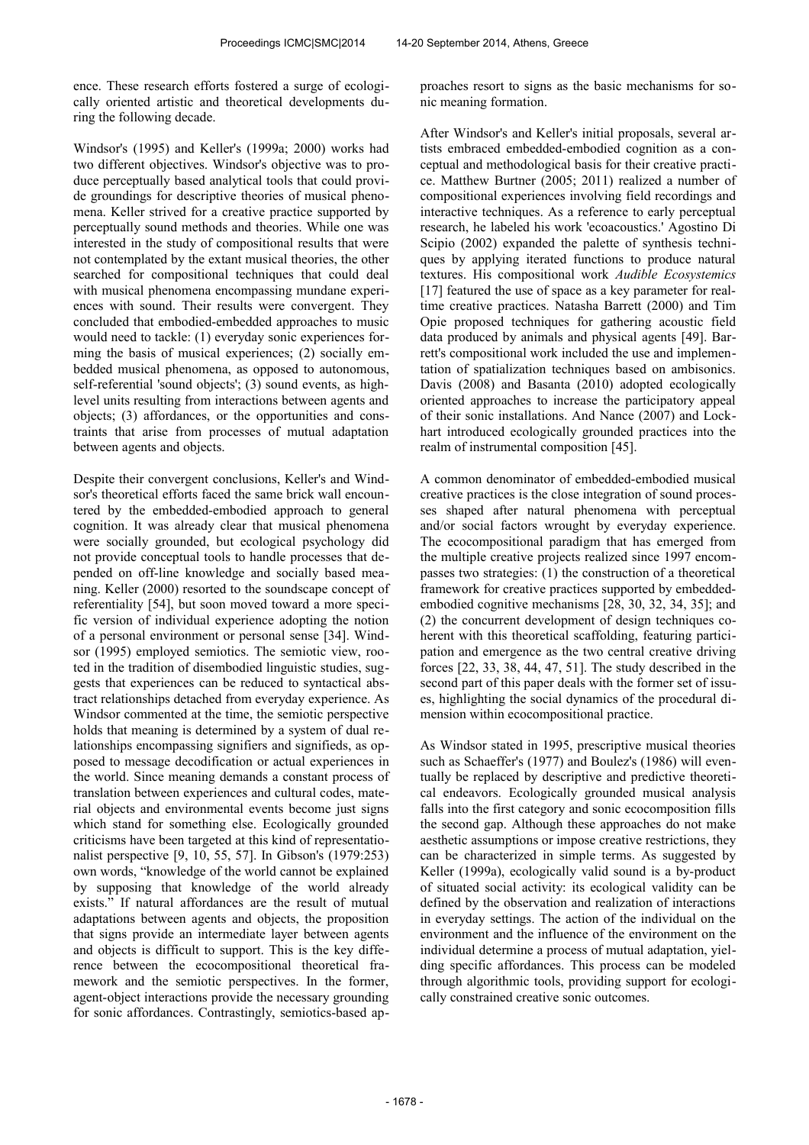ence. These research efforts fostered a surge of ecologically oriented artistic and theoretical developments during the following decade.

Windsor's (1995) and Keller's (1999a; 2000) works had two different objectives. Windsor's objective was to produce perceptually based analytical tools that could provide groundings for descriptive theories of musical phenomena. Keller strived for a creative practice supported by perceptually sound methods and theories. While one was interested in the study of compositional results that were not contemplated by the extant musical theories, the other searched for compositional techniques that could deal with musical phenomena encompassing mundane experiences with sound. Their results were convergent. They concluded that embodied-embedded approaches to music would need to tackle: (1) everyday sonic experiences forming the basis of musical experiences; (2) socially embedded musical phenomena, as opposed to autonomous, self-referential 'sound objects'; (3) sound events, as highlevel units resulting from interactions between agents and objects; (3) affordances, or the opportunities and constraints that arise from processes of mutual adaptation between agents and objects.

Despite their convergent conclusions, Keller's and Windsor's theoretical efforts faced the same brick wall encountered by the embedded-embodied approach to general cognition. It was already clear that musical phenomena were socially grounded, but ecological psychology did not provide conceptual tools to handle processes that depended on off-line knowledge and socially based meaning. Keller (2000) resorted to the soundscape concept of referentiality [54], but soon moved toward a more specific version of individual experience adopting the notion of a personal environment or personal sense [34]. Windsor (1995) employed semiotics. The semiotic view, rooted in the tradition of disembodied linguistic studies, suggests that experiences can be reduced to syntactical abstract relationships detached from everyday experience. As Windsor commented at the time, the semiotic perspective holds that meaning is determined by a system of dual relationships encompassing signifiers and signifieds, as opposed to message decodification or actual experiences in the world. Since meaning demands a constant process of translation between experiences and cultural codes, material objects and environmental events become just signs which stand for something else. Ecologically grounded criticisms have been targeted at this kind of representationalist perspective [9, 10, 55, 57]. In Gibson's (1979:253) own words, "knowledge of the world cannot be explained by supposing that knowledge of the world already exists." If natural affordances are the result of mutual adaptations between agents and objects, the proposition that signs provide an intermediate layer between agents and objects is difficult to support. This is the key difference between the ecocompositional theoretical framework and the semiotic perspectives. In the former, agent-object interactions provide the necessary grounding for sonic affordances. Contrastingly, semiotics-based approaches resort to signs as the basic mechanisms for sonic meaning formation.

After Windsor's and Keller's initial proposals, several artists embraced embedded-embodied cognition as a conceptual and methodological basis for their creative practice. Matthew Burtner (2005; 2011) realized a number of compositional experiences involving field recordings and interactive techniques. As a reference to early perceptual research, he labeled his work 'ecoacoustics.' Agostino Di Scipio (2002) expanded the palette of synthesis techniques by applying iterated functions to produce natural textures. His compositional work *Audible Ecosystemics*  [17] featured the use of space as a key parameter for realtime creative practices. Natasha Barrett (2000) and Tim Opie proposed techniques for gathering acoustic field data produced by animals and physical agents [49]. Barrett's compositional work included the use and implementation of spatialization techniques based on ambisonics. Davis (2008) and Basanta (2010) adopted ecologically oriented approaches to increase the participatory appeal of their sonic installations. And Nance (2007) and Lockhart introduced ecologically grounded practices into the realm of instrumental composition [45].

A common denominator of embedded-embodied musical creative practices is the close integration of sound processes shaped after natural phenomena with perceptual and/or social factors wrought by everyday experience. The ecocompositional paradigm that has emerged from the multiple creative projects realized since 1997 encompasses two strategies: (1) the construction of a theoretical framework for creative practices supported by embeddedembodied cognitive mechanisms [28, 30, 32, 34, 35]; and (2) the concurrent development of design techniques coherent with this theoretical scaffolding, featuring participation and emergence as the two central creative driving forces [22, 33, 38, 44, 47, 51]. The study described in the second part of this paper deals with the former set of issues, highlighting the social dynamics of the procedural dimension within ecocompositional practice.

As Windsor stated in 1995, prescriptive musical theories such as Schaeffer's (1977) and Boulez's (1986) will eventually be replaced by descriptive and predictive theoretical endeavors. Ecologically grounded musical analysis falls into the first category and sonic ecocomposition fills the second gap. Although these approaches do not make aesthetic assumptions or impose creative restrictions, they can be characterized in simple terms. As suggested by Keller (1999a), ecologically valid sound is a by-product of situated social activity: its ecological validity can be defined by the observation and realization of interactions in everyday settings. The action of the individual on the environment and the influence of the environment on the individual determine a process of mutual adaptation, yielding specific affordances. This process can be modeled through algorithmic tools, providing support for ecologically constrained creative sonic outcomes.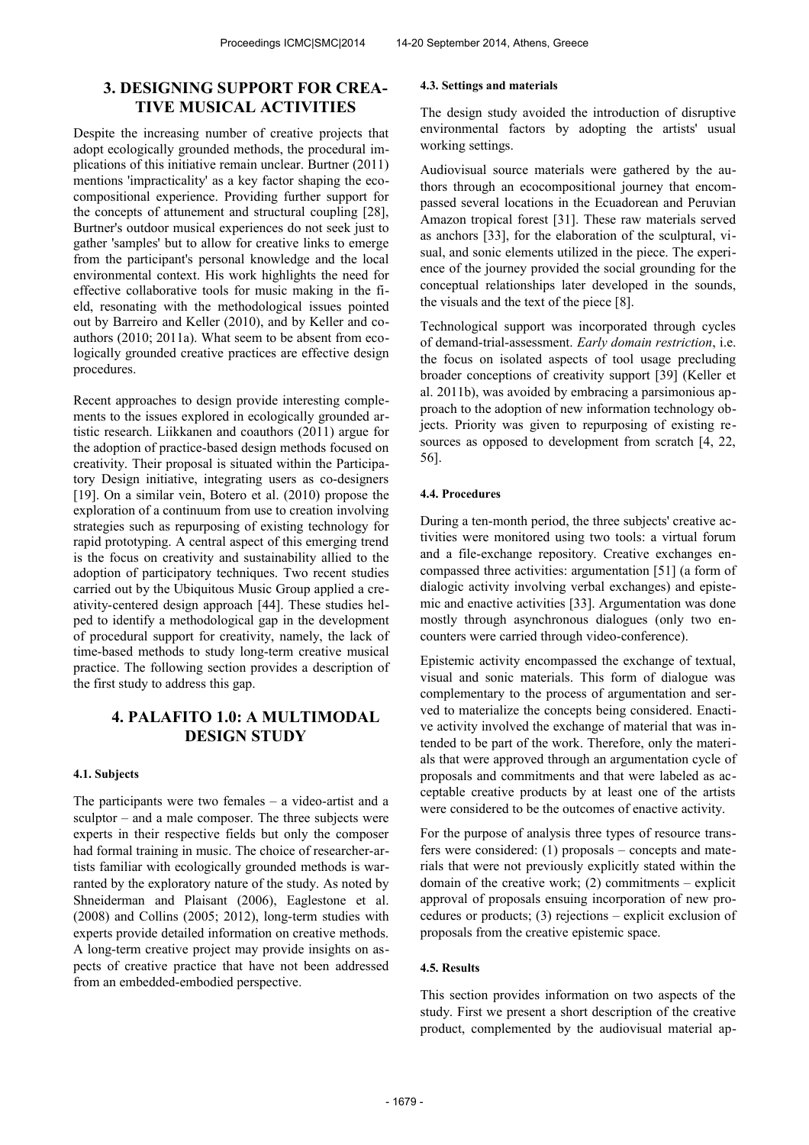# **3. DESIGNING SUPPORT FOR CREA-TIVE MUSICAL ACTIVITIES**

Despite the increasing number of creative projects that adopt ecologically grounded methods, the procedural implications of this initiative remain unclear. Burtner (2011) mentions 'impracticality' as a key factor shaping the ecocompositional experience. Providing further support for the concepts of attunement and structural coupling [28], Burtner's outdoor musical experiences do not seek just to gather 'samples' but to allow for creative links to emerge from the participant's personal knowledge and the local environmental context. His work highlights the need for effective collaborative tools for music making in the field, resonating with the methodological issues pointed out by Barreiro and Keller (2010), and by Keller and coauthors (2010; 2011a). What seem to be absent from ecologically grounded creative practices are effective design procedures.

Recent approaches to design provide interesting complements to the issues explored in ecologically grounded artistic research. Liikkanen and coauthors (2011) argue for the adoption of practice-based design methods focused on creativity. Their proposal is situated within the Participatory Design initiative, integrating users as co-designers [19]. On a similar vein, Botero et al. (2010) propose the exploration of a continuum from use to creation involving strategies such as repurposing of existing technology for rapid prototyping. A central aspect of this emerging trend is the focus on creativity and sustainability allied to the adoption of participatory techniques. Two recent studies carried out by the Ubiquitous Music Group applied a creativity-centered design approach [44]. These studies helped to identify a methodological gap in the development of procedural support for creativity, namely, the lack of time-based methods to study long-term creative musical practice. The following section provides a description of the first study to address this gap.

# **4. PALAFITO 1.0: A MULTIMODAL DESIGN STUDY**

#### **4.1. Subjects**

The participants were two females – a video-artist and a sculptor – and a male composer. The three subjects were experts in their respective fields but only the composer had formal training in music. The choice of researcher-artists familiar with ecologically grounded methods is warranted by the exploratory nature of the study. As noted by Shneiderman and Plaisant (2006), Eaglestone et al. (2008) and Collins (2005; 2012), long-term studies with experts provide detailed information on creative methods. A long-term creative project may provide insights on aspects of creative practice that have not been addressed from an embedded-embodied perspective.

#### **4.3. Settings and materials**

The design study avoided the introduction of disruptive environmental factors by adopting the artists' usual working settings.

Audiovisual source materials were gathered by the authors through an ecocompositional journey that encompassed several locations in the Ecuadorean and Peruvian Amazon tropical forest [31]. These raw materials served as anchors [33], for the elaboration of the sculptural, visual, and sonic elements utilized in the piece. The experience of the journey provided the social grounding for the conceptual relationships later developed in the sounds, the visuals and the text of the piece [8].

Technological support was incorporated through cycles of demand-trial-assessment. *Early domain restriction*, i.e. the focus on isolated aspects of tool usage precluding broader conceptions of creativity support [39] (Keller et al. 2011b), was avoided by embracing a parsimonious approach to the adoption of new information technology objects. Priority was given to repurposing of existing resources as opposed to development from scratch [4, 22, 56].

## **4.4. Procedures**

During a ten-month period, the three subjects' creative activities were monitored using two tools: a virtual forum and a file-exchange repository. Creative exchanges encompassed three activities: argumentation [51] (a form of dialogic activity involving verbal exchanges) and epistemic and enactive activities [33]. Argumentation was done mostly through asynchronous dialogues (only two encounters were carried through video-conference).

Epistemic activity encompassed the exchange of textual, visual and sonic materials. This form of dialogue was complementary to the process of argumentation and served to materialize the concepts being considered. Enactive activity involved the exchange of material that was intended to be part of the work. Therefore, only the materials that were approved through an argumentation cycle of proposals and commitments and that were labeled as acceptable creative products by at least one of the artists were considered to be the outcomes of enactive activity.

For the purpose of analysis three types of resource transfers were considered: (1) proposals – concepts and materials that were not previously explicitly stated within the domain of the creative work; (2) commitments – explicit approval of proposals ensuing incorporation of new procedures or products; (3) rejections – explicit exclusion of proposals from the creative epistemic space.

#### **4.5. Results**

This section provides information on two aspects of the study. First we present a short description of the creative product, complemented by the audiovisual material ap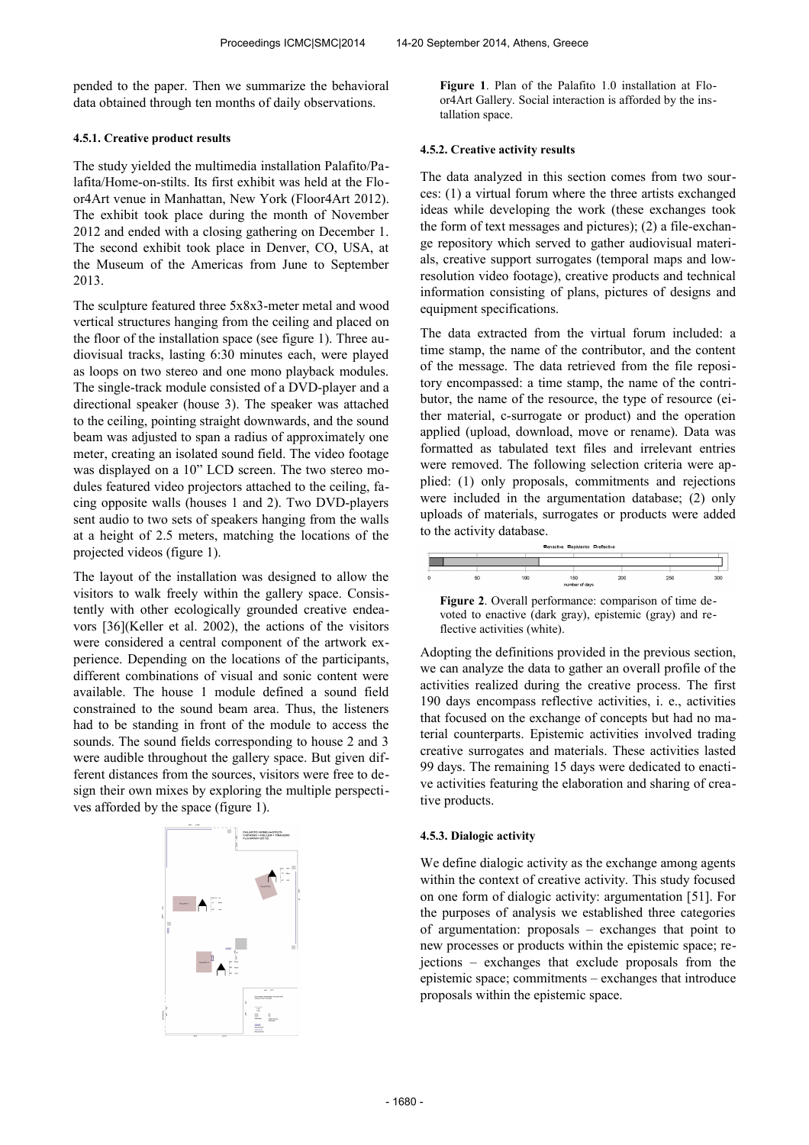pended to the paper. Then we summarize the behavioral data obtained through ten months of daily observations.

#### **4.5.1. Creative product results**

The study yielded the multimedia installation Palafito/Palafita/Home-on-stilts. Its first exhibit was held at the Floor4Art venue in Manhattan, New York (Floor4Art 2012). The exhibit took place during the month of November 2012 and ended with a closing gathering on December 1. The second exhibit took place in Denver, CO, USA, at the Museum of the Americas from June to September 2013.

The sculpture featured three 5x8x3-meter metal and wood vertical structures hanging from the ceiling and placed on the floor of the installation space (see figure 1). Three audiovisual tracks, lasting 6:30 minutes each, were played as loops on two stereo and one mono playback modules. The single-track module consisted of a DVD-player and a directional speaker (house 3). The speaker was attached to the ceiling, pointing straight downwards, and the sound beam was adjusted to span a radius of approximately one meter, creating an isolated sound field. The video footage was displayed on a 10" LCD screen. The two stereo modules featured video projectors attached to the ceiling, facing opposite walls (houses 1 and 2). Two DVD-players sent audio to two sets of speakers hanging from the walls at a height of 2.5 meters, matching the locations of the projected videos (figure 1).

The layout of the installation was designed to allow the visitors to walk freely within the gallery space. Consistently with other ecologically grounded creative endeavors [36](Keller et al. 2002), the actions of the visitors were considered a central component of the artwork experience. Depending on the locations of the participants, different combinations of visual and sonic content were available. The house 1 module defined a sound field constrained to the sound beam area. Thus, the listeners had to be standing in front of the module to access the sounds. The sound fields corresponding to house 2 and 3 were audible throughout the gallery space. But given different distances from the sources, visitors were free to design their own mixes by exploring the multiple perspectives afforded by the space (figure 1).



**Figure 1**. Plan of the Palafito 1.0 installation at Floor4Art Gallery. Social interaction is afforded by the installation space.

#### **4.5.2. Creative activity results**

The data analyzed in this section comes from two sources: (1) a virtual forum where the three artists exchanged ideas while developing the work (these exchanges took the form of text messages and pictures); (2) a file-exchange repository which served to gather audiovisual materials, creative support surrogates (temporal maps and lowresolution video footage), creative products and technical information consisting of plans, pictures of designs and equipment specifications.

The data extracted from the virtual forum included: a time stamp, the name of the contributor, and the content of the message. The data retrieved from the file repository encompassed: a time stamp, the name of the contributor, the name of the resource, the type of resource (either material, c-surrogate or product) and the operation applied (upload, download, move or rename). Data was formatted as tabulated text files and irrelevant entries were removed. The following selection criteria were applied: (1) only proposals, commitments and rejections were included in the argumentation database; (2) only uploads of materials, surrogates or products were added to the activity database.



**Figure 2**. Overall performance: comparison of time devoted to enactive (dark gray), epistemic (gray) and reflective activities (white).

Adopting the definitions provided in the previous section, we can analyze the data to gather an overall profile of the activities realized during the creative process. The first 190 days encompass reflective activities, i. e., activities that focused on the exchange of concepts but had no material counterparts. Epistemic activities involved trading creative surrogates and materials. These activities lasted 99 days. The remaining 15 days were dedicated to enactive activities featuring the elaboration and sharing of creative products.

#### **4.5.3. Dialogic activity**

We define dialogic activity as the exchange among agents within the context of creative activity. This study focused on one form of dialogic activity: argumentation [51]. For the purposes of analysis we established three categories of argumentation: proposals – exchanges that point to new processes or products within the epistemic space; rejections – exchanges that exclude proposals from the epistemic space; commitments – exchanges that introduce proposals within the epistemic space.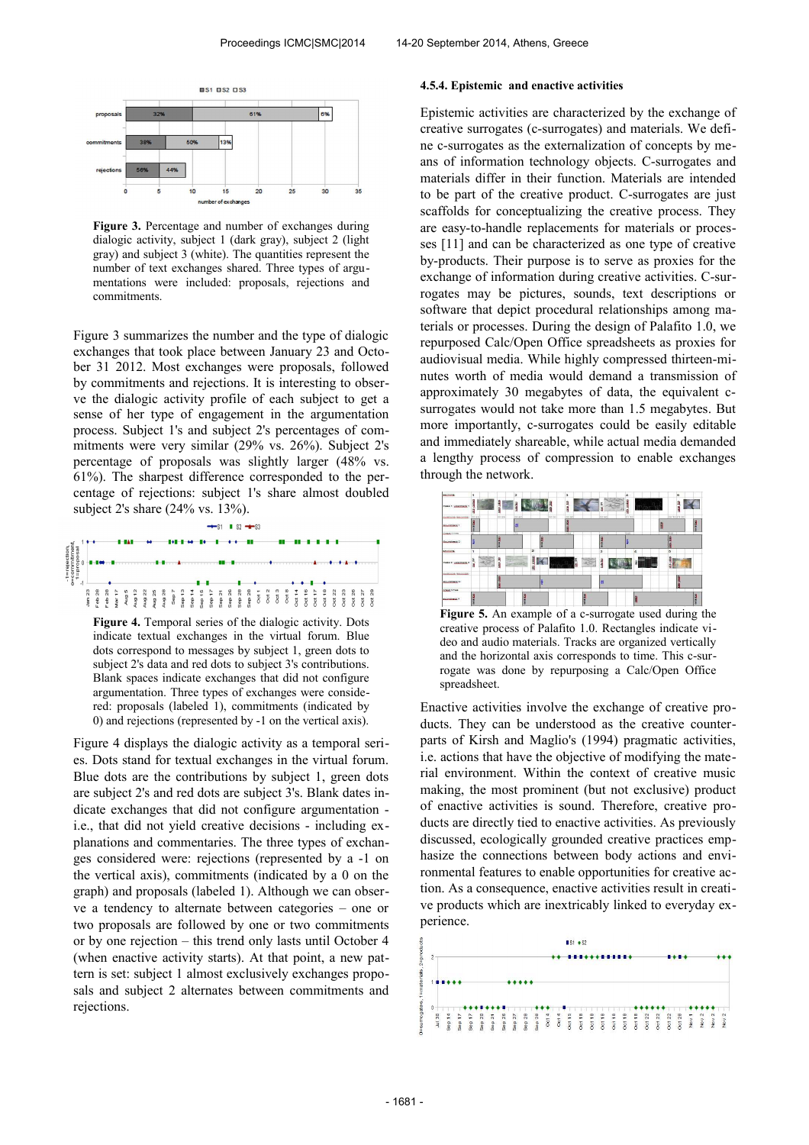

**Figure 3.** Percentage and number of exchanges during dialogic activity, subject 1 (dark gray), subject 2 (light gray) and subject 3 (white). The quantities represent the number of text exchanges shared. Three types of argumentations were included: proposals, rejections and commitments.

Figure 3 summarizes the number and the type of dialogic exchanges that took place between January 23 and October 31 2012. Most exchanges were proposals, followed by commitments and rejections. It is interesting to observe the dialogic activity profile of each subject to get a sense of her type of engagement in the argumentation process. Subject 1's and subject 2's percentages of commitments were very similar (29% vs. 26%). Subject 2's percentage of proposals was slightly larger (48% vs. 61%). The sharpest difference corresponded to the percentage of rejections: subject 1's share almost doubled subject 2's share (24% vs. 13%).



**Figure 4.** Temporal series of the dialogic activity. Dots indicate textual exchanges in the virtual forum. Blue dots correspond to messages by subject 1, green dots to subject 2's data and red dots to subject 3's contributions. Blank spaces indicate exchanges that did not configure argumentation. Three types of exchanges were considered: proposals (labeled 1), commitments (indicated by 0) and rejections (represented by -1 on the vertical axis).

Figure 4 displays the dialogic activity as a temporal series. Dots stand for textual exchanges in the virtual forum. Blue dots are the contributions by subject 1, green dots are subject 2's and red dots are subject 3's. Blank dates indicate exchanges that did not configure argumentation i.e., that did not yield creative decisions - including explanations and commentaries. The three types of exchanges considered were: rejections (represented by a -1 on the vertical axis), commitments (indicated by a 0 on the graph) and proposals (labeled 1). Although we can observe a tendency to alternate between categories – one or two proposals are followed by one or two commitments or by one rejection – this trend only lasts until October 4 (when enactive activity starts). At that point, a new pattern is set: subject 1 almost exclusively exchanges proposals and subject 2 alternates between commitments and rejections.

### **4.5.4. Epistemic and enactive activities**

Epistemic activities are characterized by the exchange of creative surrogates (c-surrogates) and materials. We define c-surrogates as the externalization of concepts by means of information technology objects. C-surrogates and materials differ in their function. Materials are intended to be part of the creative product. C-surrogates are just scaffolds for conceptualizing the creative process. They are easy-to-handle replacements for materials or processes [11] and can be characterized as one type of creative by-products. Their purpose is to serve as proxies for the exchange of information during creative activities. C-surrogates may be pictures, sounds, text descriptions or software that depict procedural relationships among materials or processes. During the design of Palafito 1.0, we repurposed Calc/Open Office spreadsheets as proxies for audiovisual media. While highly compressed thirteen-minutes worth of media would demand a transmission of approximately 30 megabytes of data, the equivalent csurrogates would not take more than 1.5 megabytes. But more importantly, c-surrogates could be easily editable and immediately shareable, while actual media demanded a lengthy process of compression to enable exchanges through the network.



**Figure 5.** An example of a c-surrogate used during the creative process of Palafito 1.0. Rectangles indicate video and audio materials. Tracks are organized vertically and the horizontal axis corresponds to time. This c-surrogate was done by repurposing a Calc/Open Office spreadsheet.

Enactive activities involve the exchange of creative products. They can be understood as the creative counterparts of Kirsh and Maglio's (1994) pragmatic activities, i.e. actions that have the objective of modifying the material environment. Within the context of creative music making, the most prominent (but not exclusive) product of enactive activities is sound. Therefore, creative products are directly tied to enactive activities. As previously discussed, ecologically grounded creative practices emphasize the connections between body actions and environmental features to enable opportunities for creative action. As a consequence, enactive activities result in creative products which are inextricably linked to everyday experience.

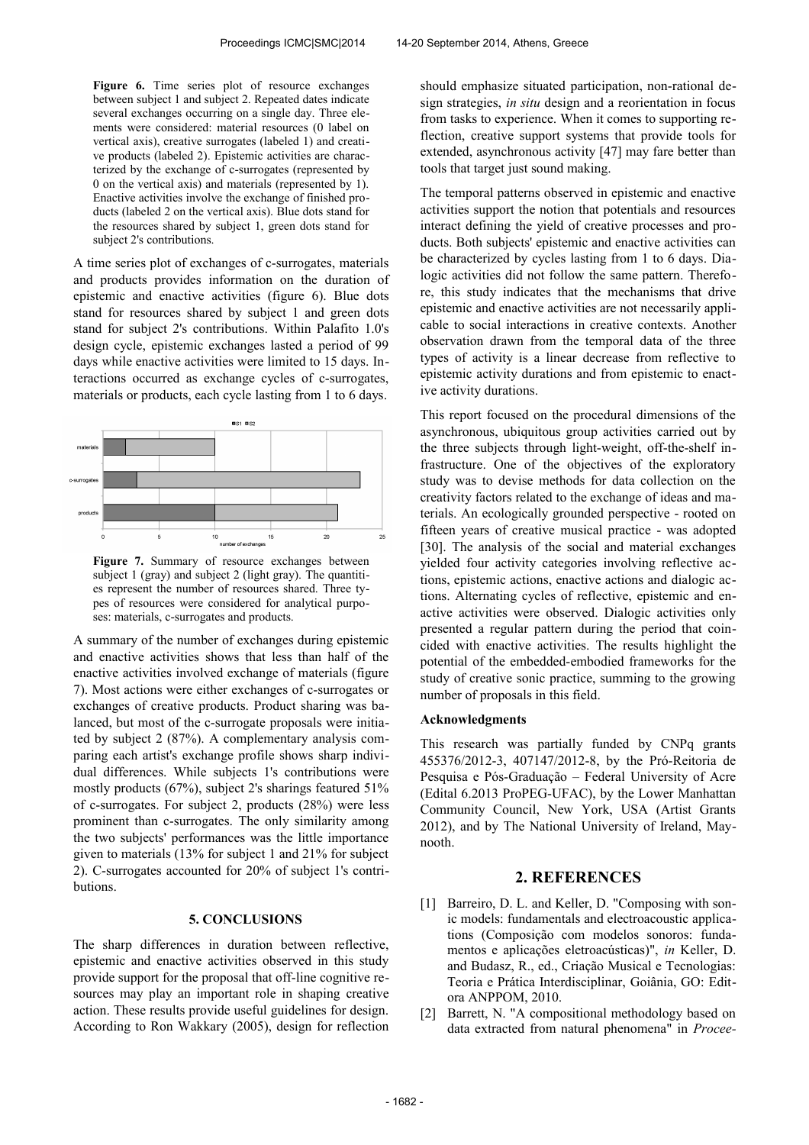Figure 6. Time series plot of resource exchanges between subject 1 and subject 2. Repeated dates indicate several exchanges occurring on a single day. Three elements were considered: material resources (0 label on vertical axis), creative surrogates (labeled 1) and creative products (labeled 2). Epistemic activities are characterized by the exchange of c-surrogates (represented by 0 on the vertical axis) and materials (represented by 1). Enactive activities involve the exchange of finished products (labeled 2 on the vertical axis). Blue dots stand for the resources shared by subject 1, green dots stand for subject 2's contributions.

A time series plot of exchanges of c-surrogates, materials and products provides information on the duration of epistemic and enactive activities (figure 6). Blue dots stand for resources shared by subject 1 and green dots stand for subject 2's contributions. Within Palafito 1.0's design cycle, epistemic exchanges lasted a period of 99 days while enactive activities were limited to 15 days. Interactions occurred as exchange cycles of c-surrogates, materials or products, each cycle lasting from 1 to 6 days.



Figure 7. Summary of resource exchanges between subject 1 (gray) and subject 2 (light gray). The quantities represent the number of resources shared. Three types of resources were considered for analytical purposes: materials, c-surrogates and products.

A summary of the number of exchanges during epistemic and enactive activities shows that less than half of the enactive activities involved exchange of materials (figure 7). Most actions were either exchanges of c-surrogates or exchanges of creative products. Product sharing was balanced, but most of the c-surrogate proposals were initiated by subject 2 (87%). A complementary analysis comparing each artist's exchange profile shows sharp individual differences. While subjects 1's contributions were mostly products (67%), subject 2's sharings featured 51% of c-surrogates. For subject 2, products (28%) were less prominent than c-surrogates. The only similarity among the two subjects' performances was the little importance given to materials (13% for subject 1 and 21% for subject 2). C-surrogates accounted for 20% of subject 1's contributions.

### **5. CONCLUSIONS**

The sharp differences in duration between reflective, epistemic and enactive activities observed in this study provide support for the proposal that off-line cognitive resources may play an important role in shaping creative action. These results provide useful guidelines for design. According to Ron Wakkary (2005), design for reflection should emphasize situated participation, non-rational design strategies, *in situ* design and a reorientation in focus from tasks to experience. When it comes to supporting reflection, creative support systems that provide tools for extended, asynchronous activity [47] may fare better than tools that target just sound making.

The temporal patterns observed in epistemic and enactive activities support the notion that potentials and resources interact defining the yield of creative processes and products. Both subjects' epistemic and enactive activities can be characterized by cycles lasting from 1 to 6 days. Dialogic activities did not follow the same pattern. Therefore, this study indicates that the mechanisms that drive epistemic and enactive activities are not necessarily applicable to social interactions in creative contexts. Another observation drawn from the temporal data of the three types of activity is a linear decrease from reflective to epistemic activity durations and from epistemic to enactive activity durations.

This report focused on the procedural dimensions of the asynchronous, ubiquitous group activities carried out by the three subjects through light-weight, off-the-shelf infrastructure. One of the objectives of the exploratory study was to devise methods for data collection on the creativity factors related to the exchange of ideas and materials. An ecologically grounded perspective - rooted on fifteen years of creative musical practice - was adopted [30]. The analysis of the social and material exchanges yielded four activity categories involving reflective actions, epistemic actions, enactive actions and dialogic actions. Alternating cycles of reflective, epistemic and enactive activities were observed. Dialogic activities only presented a regular pattern during the period that coincided with enactive activities. The results highlight the potential of the embedded-embodied frameworks for the study of creative sonic practice, summing to the growing number of proposals in this field.

### **Acknowledgments**

This research was partially funded by CNPq grants 455376/2012-3, 407147/2012-8, by the Pró-Reitoria de Pesquisa e Pós-Graduação – Federal University of Acre (Edital 6.2013 ProPEG-UFAC), by the Lower Manhattan Community Council, New York, USA (Artist Grants 2012), and by The National University of Ireland, Maynooth.

## **2. REFERENCES**

- [1] Barreiro, D. L. and Keller, D. "Composing with sonic models: fundamentals and electroacoustic applications (Composição com modelos sonoros: fundamentos e aplicações eletroacústicas)", *in* Keller, D. and Budasz, R., ed., Criação Musical e Tecnologias: Teoria e Prática Interdisciplinar, Goiânia, GO: Editora ANPPOM, 2010.
- [2] Barrett, N. "A compositional methodology based on data extracted from natural phenomena" in *Procee-*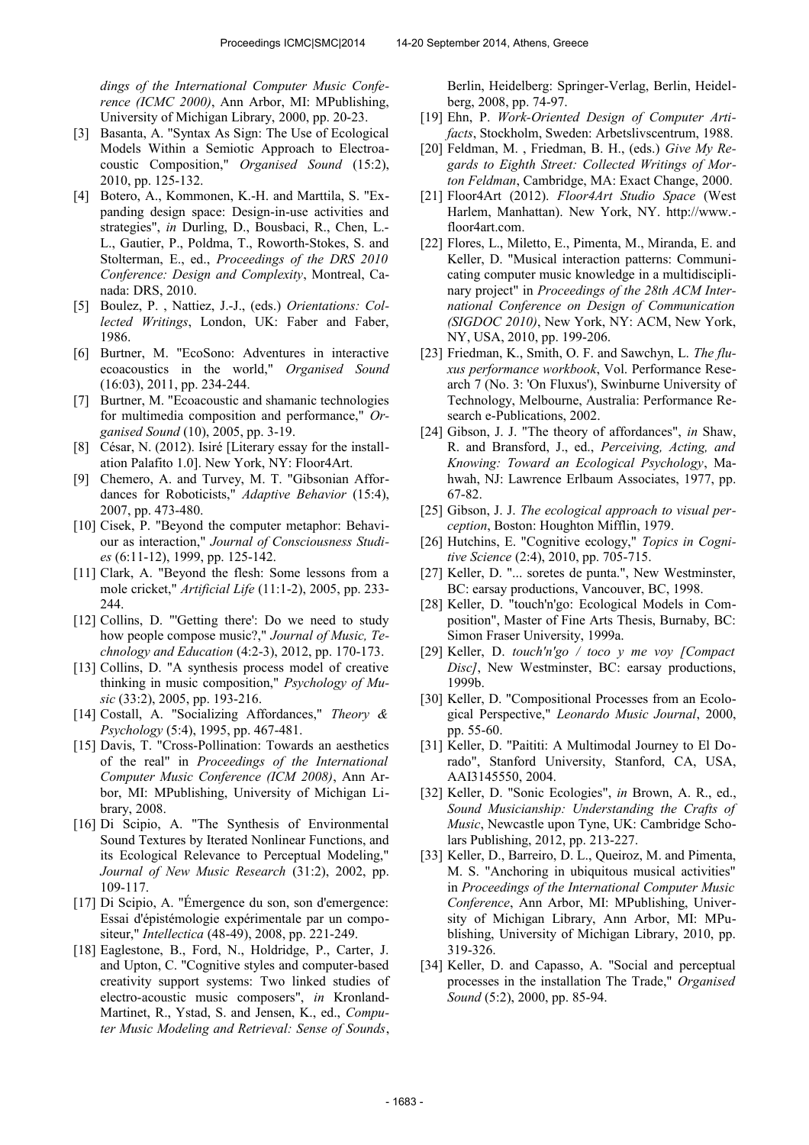*dings of the International Computer Music Conference (ICMC 2000)*, Ann Arbor, MI: MPublishing, University of Michigan Library, 2000, pp. 20-23.

- [3] Basanta, A. "Syntax As Sign: The Use of Ecological Models Within a Semiotic Approach to Electroacoustic Composition," *Organised Sound* (15:2), 2010, pp. 125-132.
- [4] Botero, A., Kommonen, K.-H. and Marttila, S. "Expanding design space: Design-in-use activities and strategies", *in* Durling, D., Bousbaci, R., Chen, L.- L., Gautier, P., Poldma, T., Roworth-Stokes, S. and Stolterman, E., ed., *Proceedings of the DRS 2010 Conference: Design and Complexity*, Montreal, Canada: DRS, 2010.
- [5] Boulez, P. , Nattiez, J.-J., (eds.) *Orientations: Collected Writings*, London, UK: Faber and Faber, 1986.
- [6] Burtner, M. "EcoSono: Adventures in interactive ecoacoustics in the world," *Organised Sound*  (16:03), 2011, pp. 234-244.
- [7] Burtner, M. "Ecoacoustic and shamanic technologies for multimedia composition and performance," *Organised Sound* (10), 2005, pp. 3-19.
- [8] César, N. (2012). Isiré [Literary essay for the installation Palafito 1.0]. New York, NY: Floor4Art.
- [9] Chemero, A. and Turvey, M. T. "Gibsonian Affordances for Roboticists," *Adaptive Behavior* (15:4), 2007, pp. 473-480.
- [10] Cisek, P. "Beyond the computer metaphor: Behaviour as interaction," *Journal of Consciousness Studies* (6:11-12), 1999, pp. 125-142.
- [11] Clark, A. "Beyond the flesh: Some lessons from a mole cricket," *Artificial Life* (11:1-2), 2005, pp. 233- 244.
- [12] Collins, D. "'Getting there': Do we need to study how people compose music?," *Journal of Music, Technology and Education* (4:2-3), 2012, pp. 170-173.
- [13] Collins, D. "A synthesis process model of creative thinking in music composition," *Psychology of Music* (33:2), 2005, pp. 193-216.
- [14] Costall, A. "Socializing Affordances," *Theory & Psychology* (5:4), 1995, pp. 467-481.
- [15] Davis, T. "Cross-Pollination: Towards an aesthetics of the real" in *Proceedings of the International Computer Music Conference (ICM 2008)*, Ann Arbor, MI: MPublishing, University of Michigan Library, 2008.
- [16] Di Scipio, A. "The Synthesis of Environmental Sound Textures by Iterated Nonlinear Functions, and its Ecological Relevance to Perceptual Modeling," *Journal of New Music Research* (31:2), 2002, pp. 109-117.
- [17] Di Scipio, A. "Émergence du son, son d'emergence: Essai d'épistémologie expérimentale par un compositeur," *Intellectica* (48-49), 2008, pp. 221-249.
- [18] Eaglestone, B., Ford, N., Holdridge, P., Carter, J. and Upton, C. "Cognitive styles and computer-based creativity support systems: Two linked studies of electro-acoustic music composers", *in* Kronland-Martinet, R., Ystad, S. and Jensen, K., ed., *Computer Music Modeling and Retrieval: Sense of Sounds*,

Berlin, Heidelberg: Springer-Verlag, Berlin, Heidelberg, 2008, pp. 74-97.

- [19] Ehn, P. *Work-Oriented Design of Computer Artifacts*, Stockholm, Sweden: Arbetslivscentrum, 1988.
- [20] Feldman, M. , Friedman, B. H., (eds.) *Give My Regards to Eighth Street: Collected Writings of Morton Feldman*, Cambridge, MA: Exact Change, 2000.
- [21] Floor4Art (2012). *Floor4Art Studio Space* (West Harlem, Manhattan). New York, NY. http://www. floor4art.com.
- [22] Flores, L., Miletto, E., Pimenta, M., Miranda, E. and Keller, D. "Musical interaction patterns: Communicating computer music knowledge in a multidisciplinary project" in *Proceedings of the 28th ACM International Conference on Design of Communication (SIGDOC 2010)*, New York, NY: ACM, New York, NY, USA, 2010, pp. 199-206.
- [23] Friedman, K., Smith, O. F. and Sawchyn, L. *The fluxus performance workbook*, Vol. Performance Research 7 (No. 3: 'On Fluxus'), Swinburne University of Technology, Melbourne, Australia: Performance Research e-Publications, 2002.
- [24] Gibson, J. J. "The theory of affordances", *in* Shaw, R. and Bransford, J., ed., *Perceiving, Acting, and Knowing: Toward an Ecological Psychology*, Mahwah, NJ: Lawrence Erlbaum Associates, 1977, pp. 67-82.
- [25] Gibson, J. J. *The ecological approach to visual perception*, Boston: Houghton Mifflin, 1979.
- [26] Hutchins, E. "Cognitive ecology," *Topics in Cognitive Science* (2:4), 2010, pp. 705-715.
- [27] Keller, D. "... soretes de punta.", New Westminster, BC: earsay productions, Vancouver, BC, 1998.
- [28] Keller, D. "touch'n'go: Ecological Models in Composition", Master of Fine Arts Thesis, Burnaby, BC: Simon Fraser University, 1999a.
- [29] Keller, D. *touch'n'go / toco y me voy [Compact Disc]*, New Westminster, BC: earsay productions, 1999b.
- [30] Keller, D. "Compositional Processes from an Ecological Perspective," *Leonardo Music Journal*, 2000, pp. 55-60.
- [31] Keller, D. "Paititi: A Multimodal Journey to El Dorado", Stanford University, Stanford, CA, USA, AAI3145550, 2004.
- [32] Keller, D. "Sonic Ecologies", *in* Brown, A. R., ed., *Sound Musicianship: Understanding the Crafts of Music*, Newcastle upon Tyne, UK: Cambridge Scholars Publishing, 2012, pp. 213-227.
- [33] Keller, D., Barreiro, D. L., Queiroz, M. and Pimenta, M. S. "Anchoring in ubiquitous musical activities" in *Proceedings of the International Computer Music Conference*, Ann Arbor, MI: MPublishing, University of Michigan Library, Ann Arbor, MI: MPublishing, University of Michigan Library, 2010, pp. 319-326.
- [34] Keller, D. and Capasso, A. "Social and perceptual processes in the installation The Trade," *Organised Sound* (5:2), 2000, pp. 85-94.